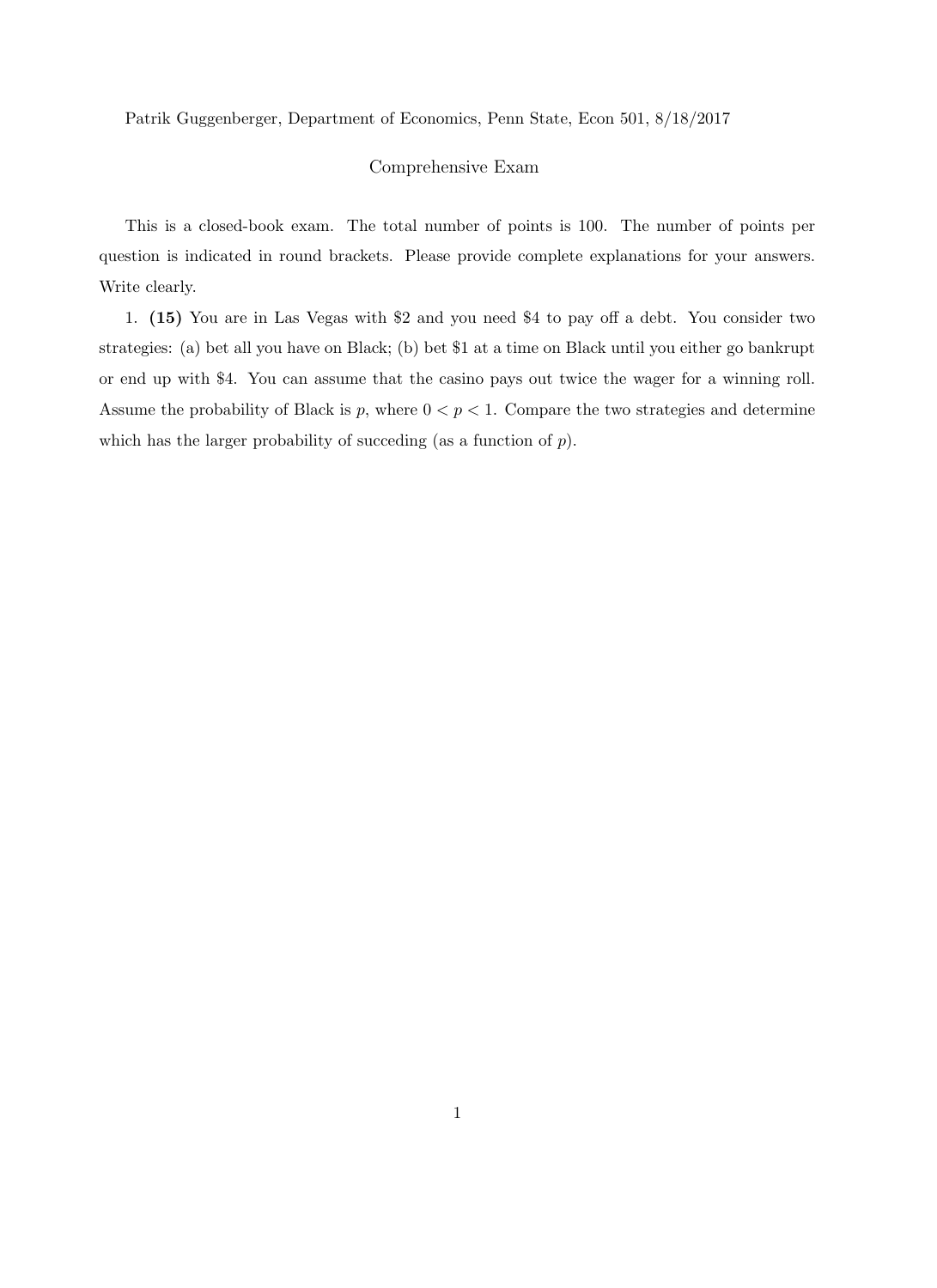Patrik Guggenberger, Department of Economics, Penn State, Econ 501, 8/18/2017

## Comprehensive Exam

This is a closed-book exam. The total number of points is 100. The number of points per question is indicated in round brackets. Please provide complete explanations for your answers. Write clearly.

1. (15) You are in Las Vegas with \$2 and you need \$4 to pay off a debt. You consider two strategies: (a) bet all you have on Black; (b) bet \$1 at a time on Black until you either go bankrupt or end up with \$4. You can assume that the casino pays out twice the wager for a winning roll. Assume the probability of Black is  $p$ , where  $0 < p < 1$ . Compare the two strategies and determine which has the larger probability of succeding (as a function of  $p$ ).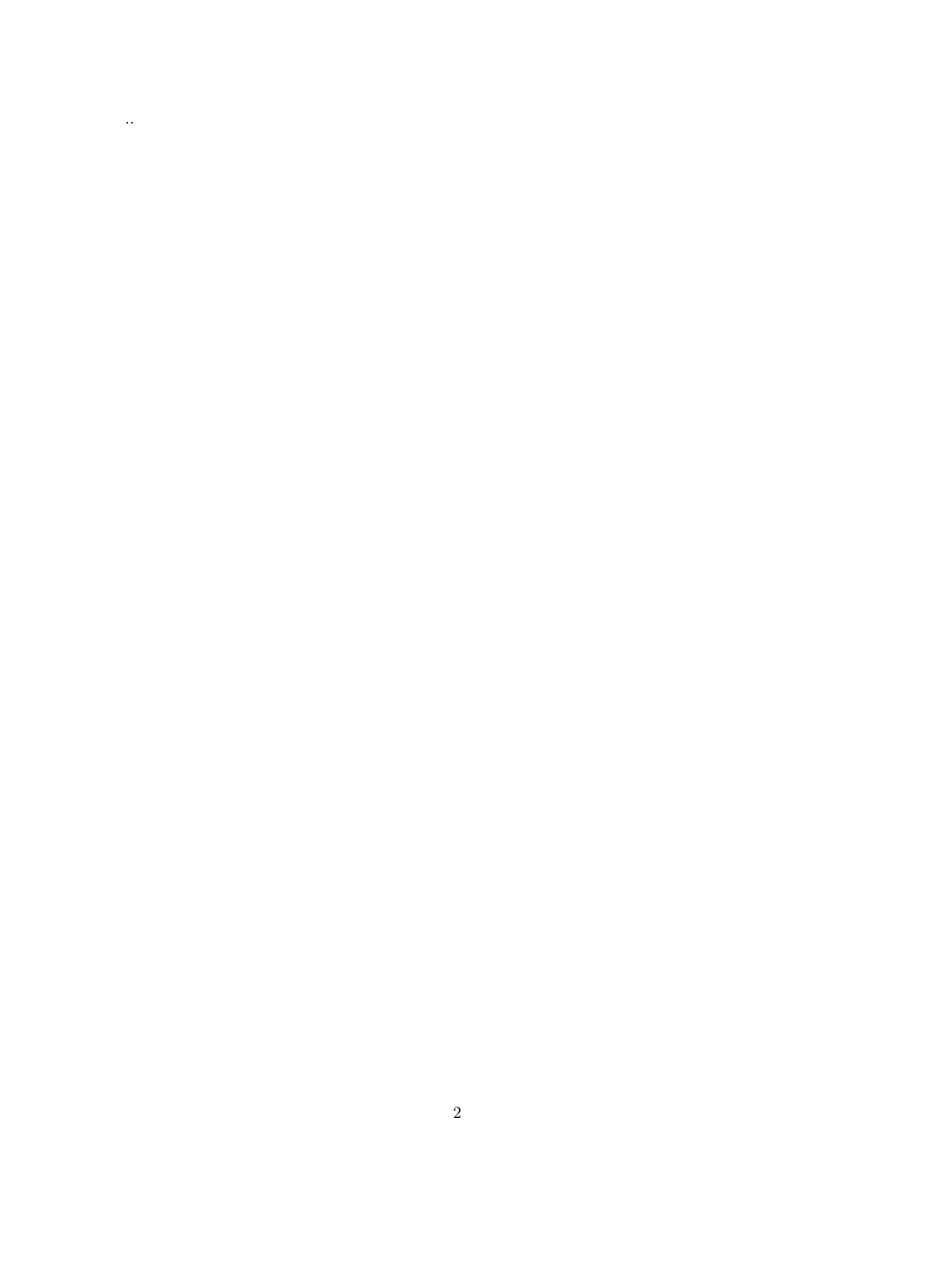$\sim$   $\sim$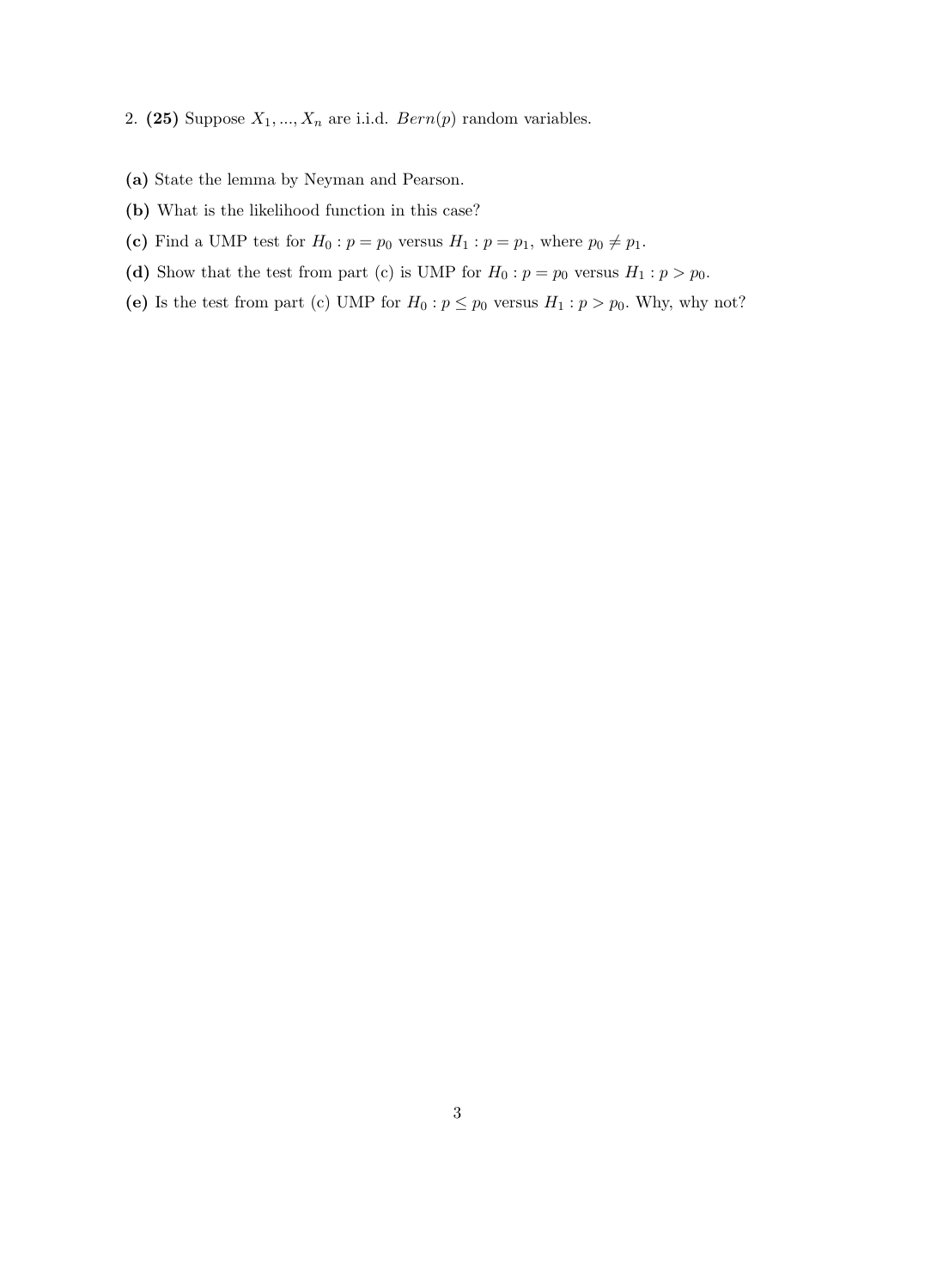- 2. (25) Suppose  $X_1, ..., X_n$  are i.i.d.  $Bern(p)$  random variables.
- (a) State the lemma by Neyman and Pearson.
- (b) What is the likelihood function in this case?
- (c) Find a UMP test for  $H_0: p = p_0$  versus  $H_1: p = p_1$ , where  $p_0 \neq p_1$ .
- (d) Show that the test from part (c) is UMP for  $H_0: p = p_0$  versus  $H_1: p > p_0$ .
- (e) Is the test from part (c) UMP for  $H_0: p \leq p_0$  versus  $H_1: p > p_0$ . Why, why not?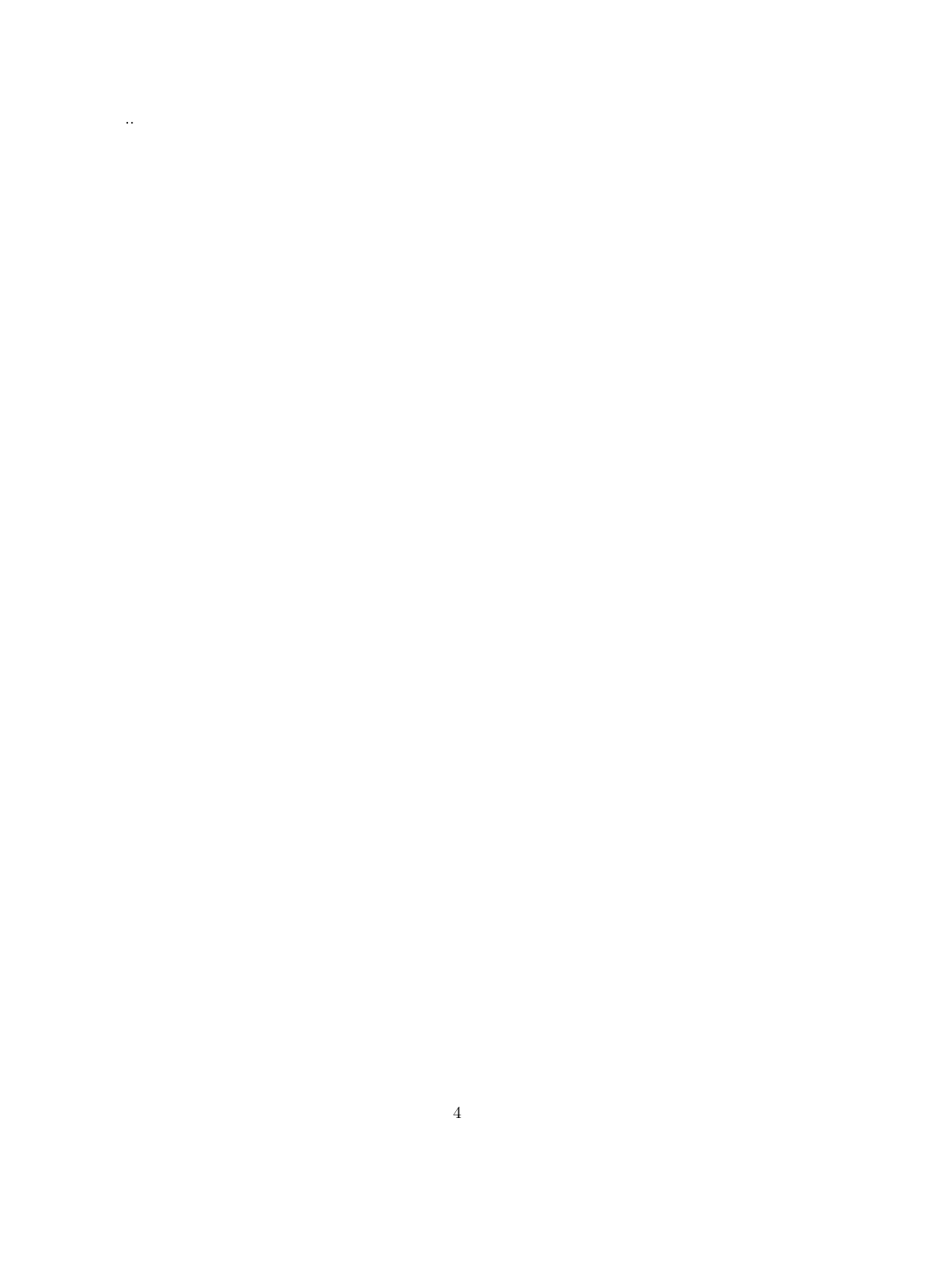$\mathcal{L}_{\text{max}}$  and  $\mathcal{L}_{\text{max}}$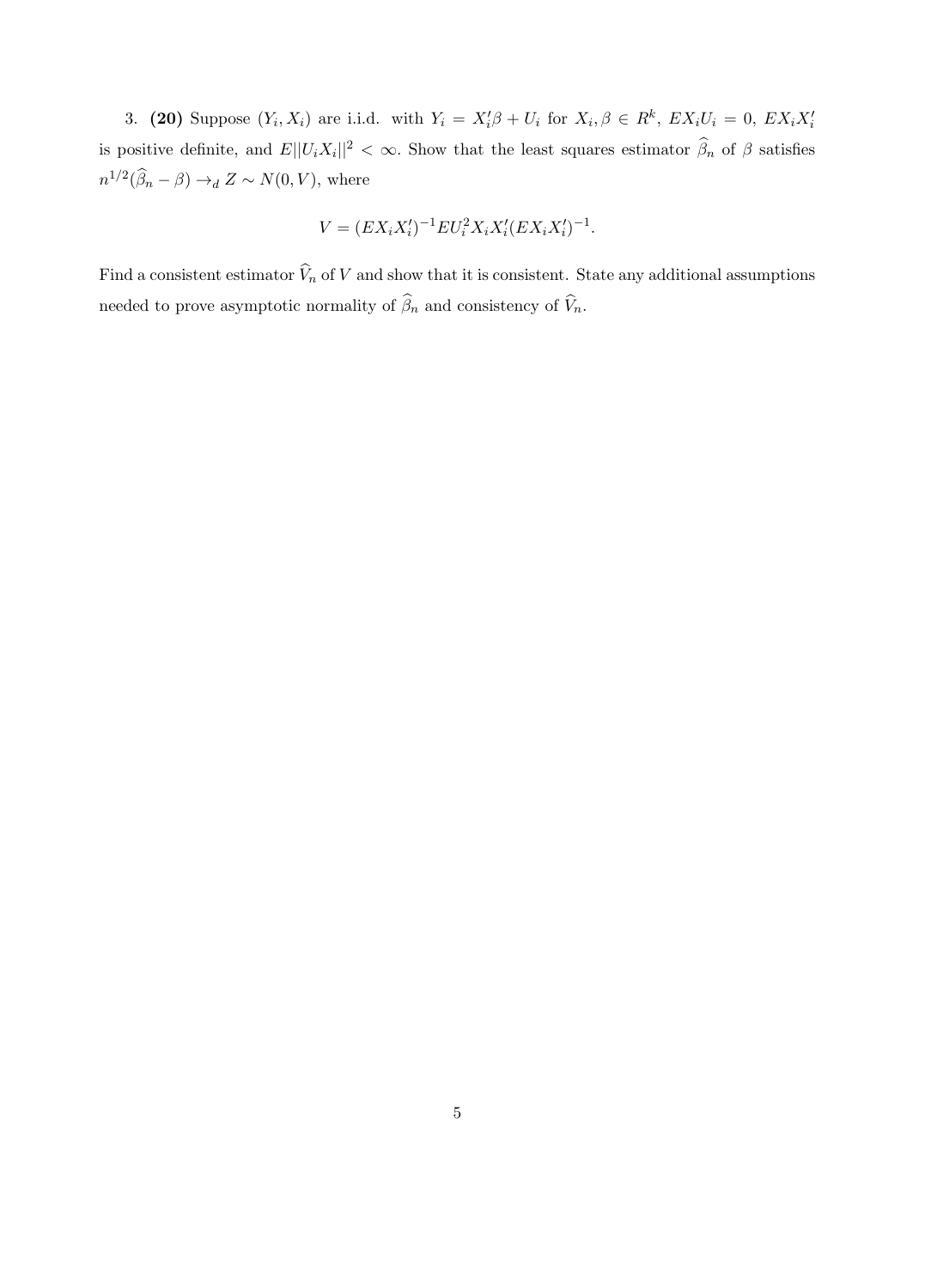3. (20) Suppose  $(Y_i, X_i)$  are i.i.d. with  $Y_i = X_i'\beta + U_i$  for  $X_i, \beta \in R^k$ ,  $EX_iU_i = 0$ ,  $EX_iX_i'$ is positive definite, and  $E||U_iX_i||^2 < \infty$ . Show that the least squares estimator  $\hat{\beta}_n$  of  $\beta$  satisfies  $n^{1/2}(\widehat{\beta}_n - \beta) \rightarrow_d Z \sim N(0, V)$ , where

$$
V = (EX_iX_i')^{-1}EU_i^2X_iX_i'(EX_iX_i')^{-1}.
$$

Find a consistent estimator  $\widehat{V}_n$  of V and show that it is consistent. State any additional assumptions needed to prove asymptotic normality of  $\widehat{\beta}_n$  and consistency of  $\widehat{V}_n.$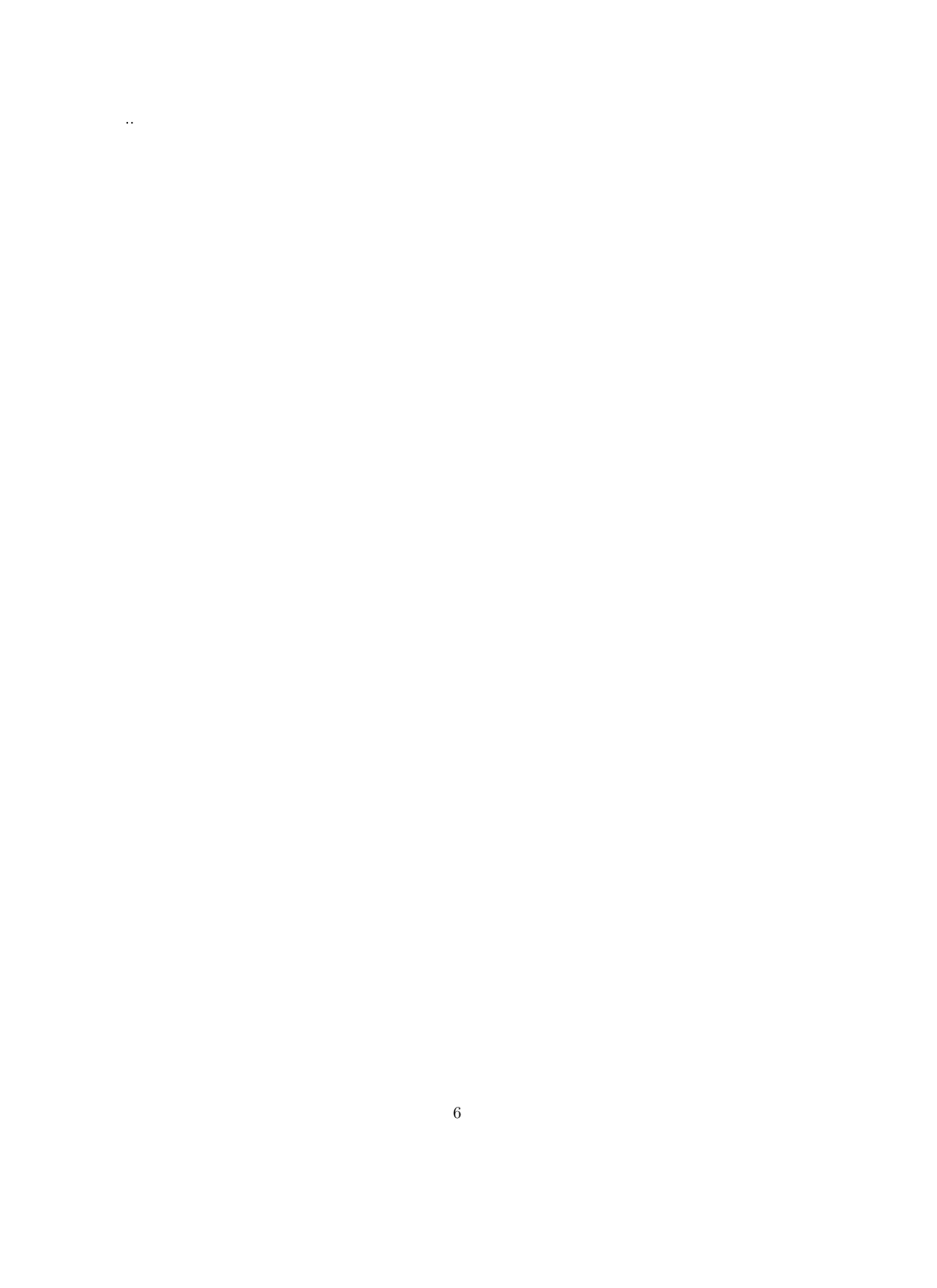$\mathcal{L}^{\text{max}}_{\text{max}}$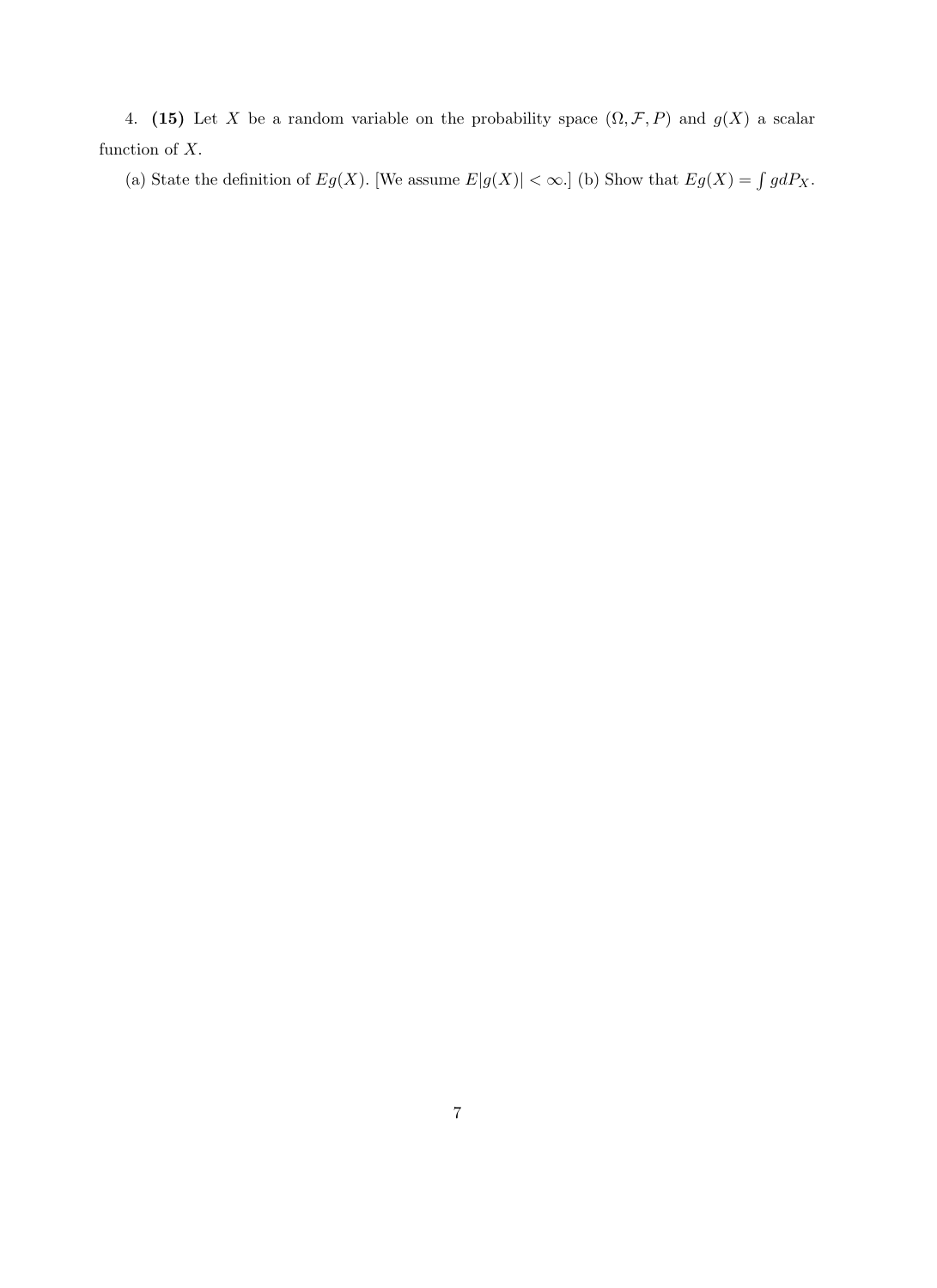4. (15) Let X be a random variable on the probability space  $(\Omega, \mathcal{F}, P)$  and  $g(X)$  a scalar function of X.

(a) State the definition of  $Eg(X)$ . [We assume  $E|g(X)| < \infty$ .] (b) Show that  $Eg(X) = \int g dP_X$ .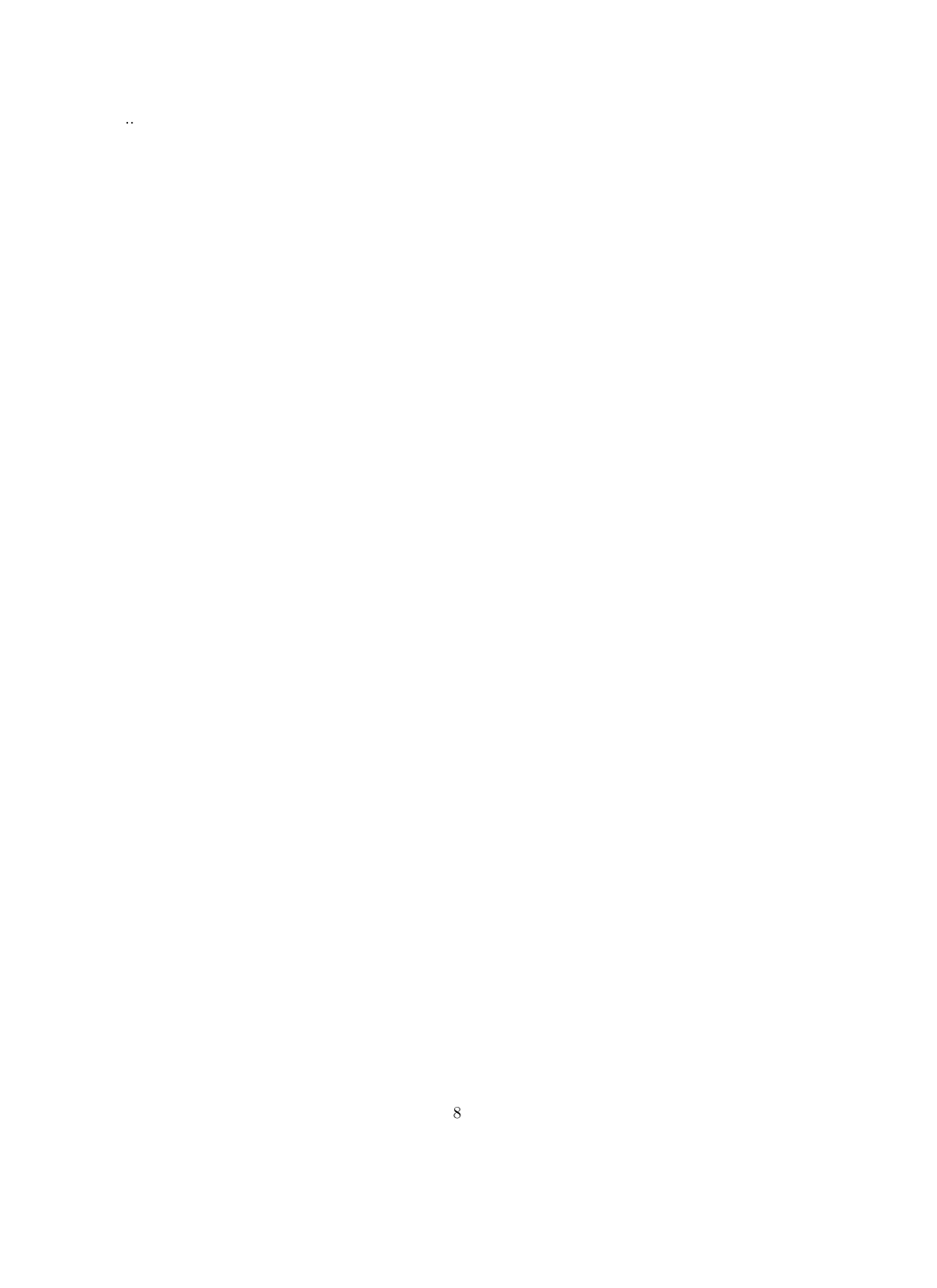$\mathcal{L}(\mathcal{A})$  and  $\mathcal{L}(\mathcal{A})$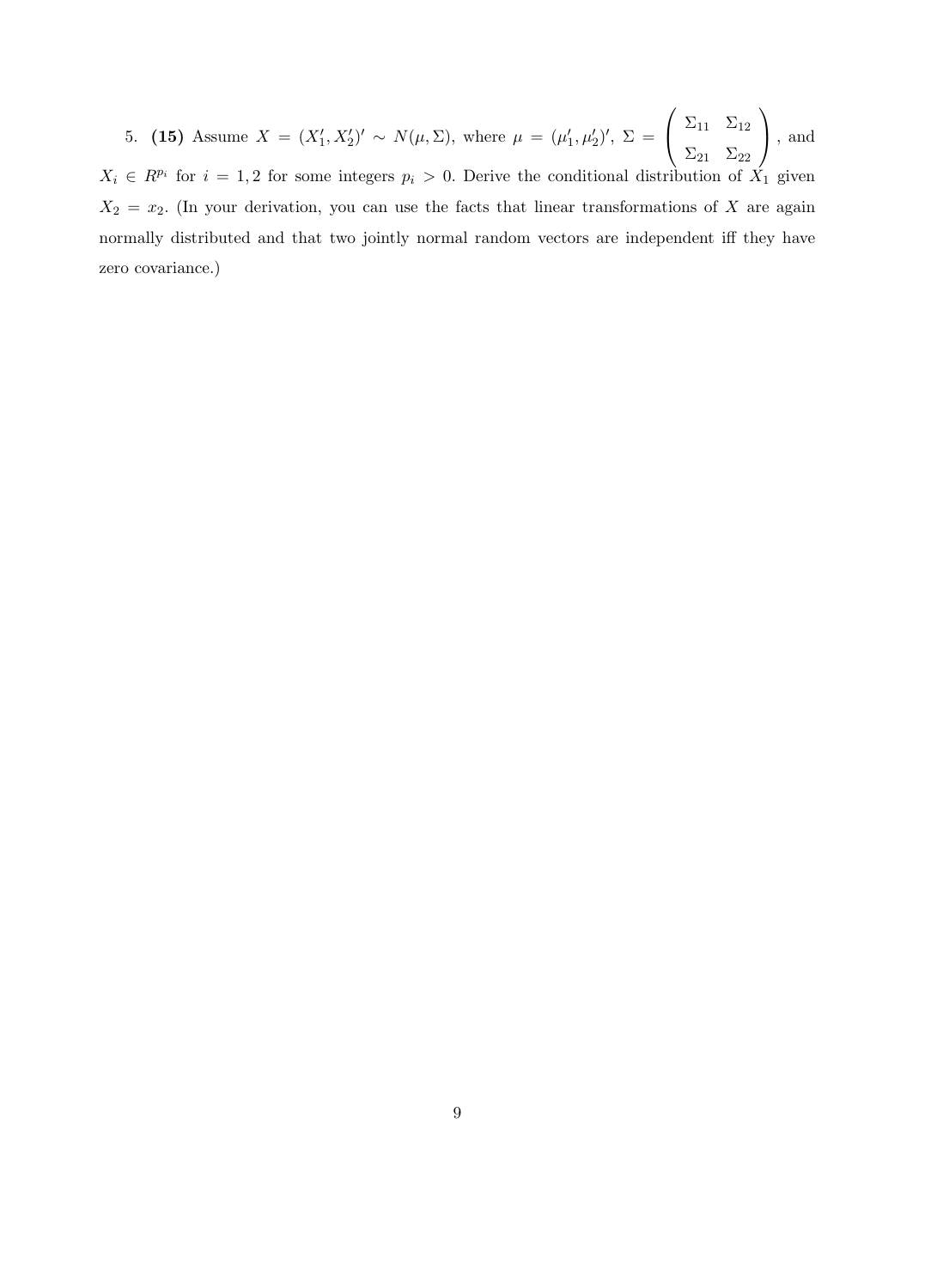5. (15) Assume  $X = (X'_1, X'_2)' \sim N(\mu, \Sigma)$ , where  $\mu = (\mu'_1, \mu'_2)'$ ,  $\Sigma =$  $\sqrt{ }$  $\mathcal{L}$  $\Sigma_{11}$   $\Sigma_{12}$  $\Sigma_{21}$   $\Sigma_{22}$  $\setminus$  , and  $X_i \in \mathbb{R}^{p_i}$  for  $i = 1, 2$  for some integers  $p_i > 0$ . Derive the conditional distribution of  $X_1$  given  $X_2 = x_2$ . (In your derivation, you can use the facts that linear transformations of X are again normally distributed and that two jointly normal random vectors are independent iff they have zero covariance.)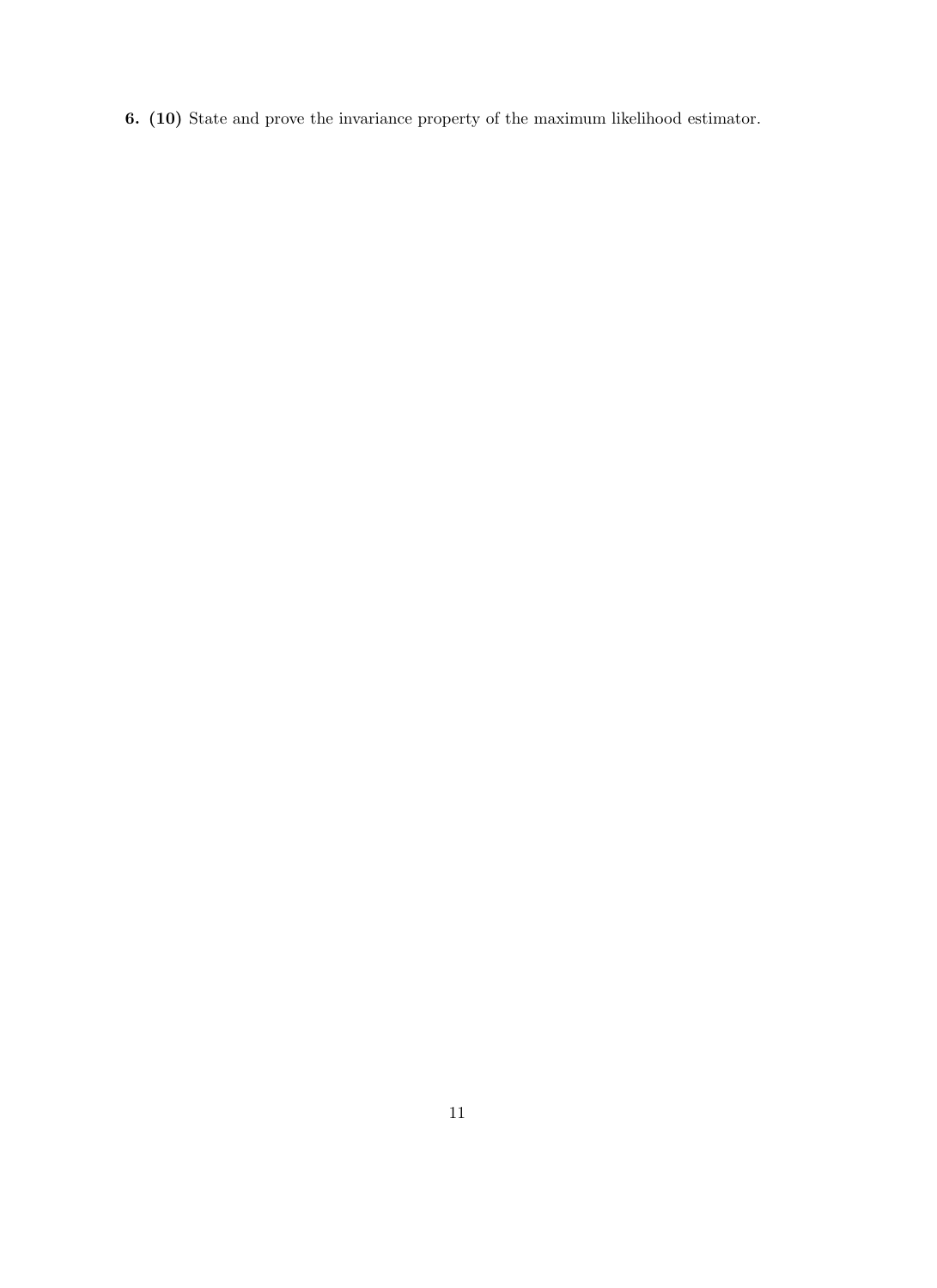6. (10) State and prove the invariance property of the maximum likelihood estimator.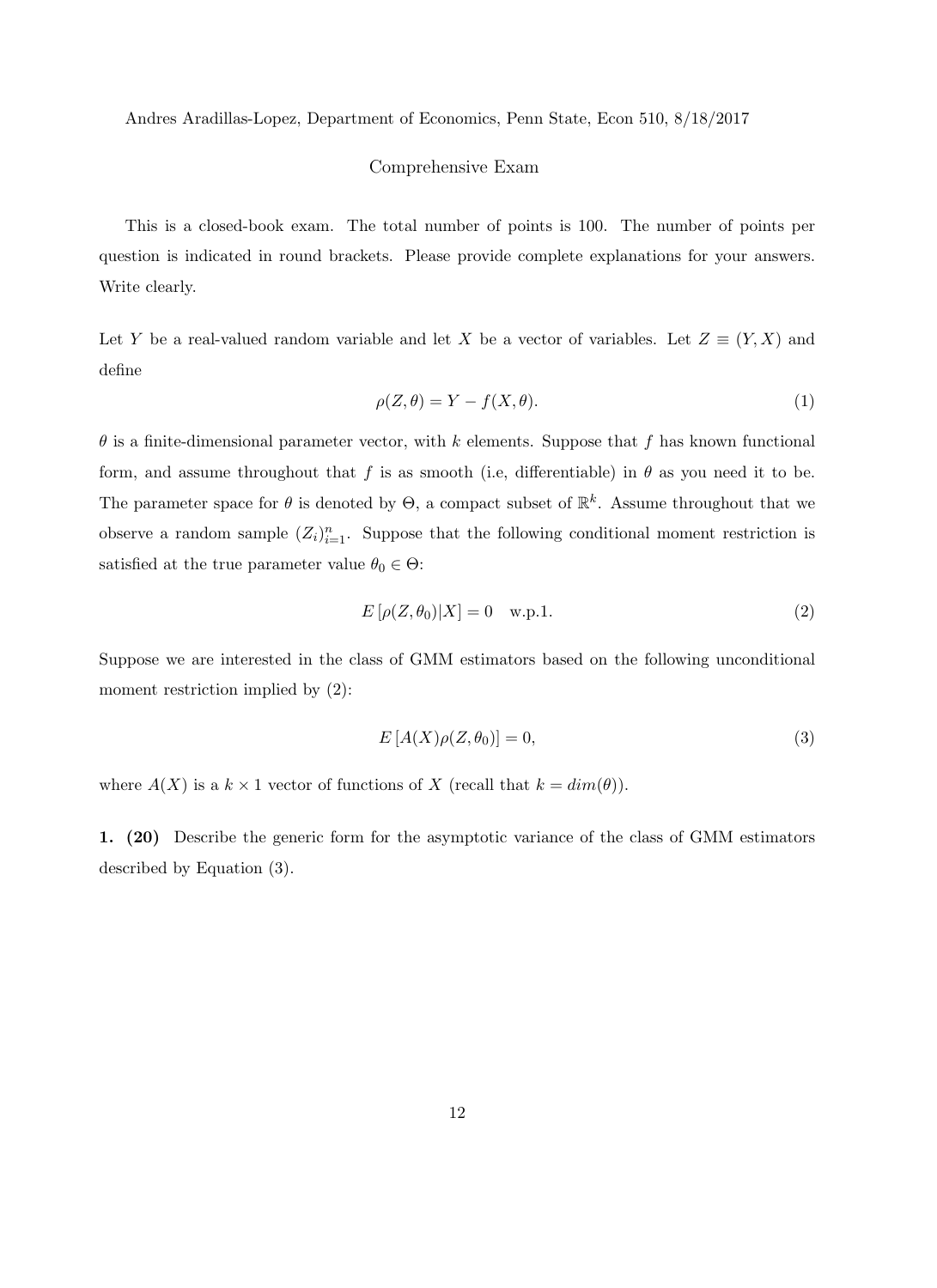Andres Aradillas-Lopez, Department of Economics, Penn State, Econ 510, 8/18/2017

## Comprehensive Exam

This is a closed-book exam. The total number of points is 100. The number of points per question is indicated in round brackets. Please provide complete explanations for your answers. Write clearly.

Let Y be a real-valued random variable and let X be a vector of variables. Let  $Z \equiv (Y, X)$  and define

$$
\rho(Z,\theta) = Y - f(X,\theta). \tag{1}
$$

 $\theta$  is a finite-dimensional parameter vector, with k elements. Suppose that f has known functional form, and assume throughout that f is as smooth (i.e, differentiable) in  $\theta$  as you need it to be. The parameter space for  $\theta$  is denoted by  $\Theta$ , a compact subset of  $\mathbb{R}^k$ . Assume throughout that we observe a random sample  $(Z_i)_{i=1}^n$ . Suppose that the following conditional moment restriction is satisfied at the true parameter value  $\theta_0 \in \Theta$ :

$$
E\left[\rho(Z,\theta_0)|X\right] = 0 \quad \text{w.p.1.}
$$
\n<sup>(2)</sup>

Suppose we are interested in the class of GMM estimators based on the following unconditional moment restriction implied by  $(2)$ :

$$
E\left[A(X)\rho(Z,\theta_0)\right] = 0,\t\t(3)
$$

where  $A(X)$  is a  $k \times 1$  vector of functions of X (recall that  $k = dim(\theta)$ ).

1. (20) Describe the generic form for the asymptotic variance of the class of GMM estimators described by Equation (3).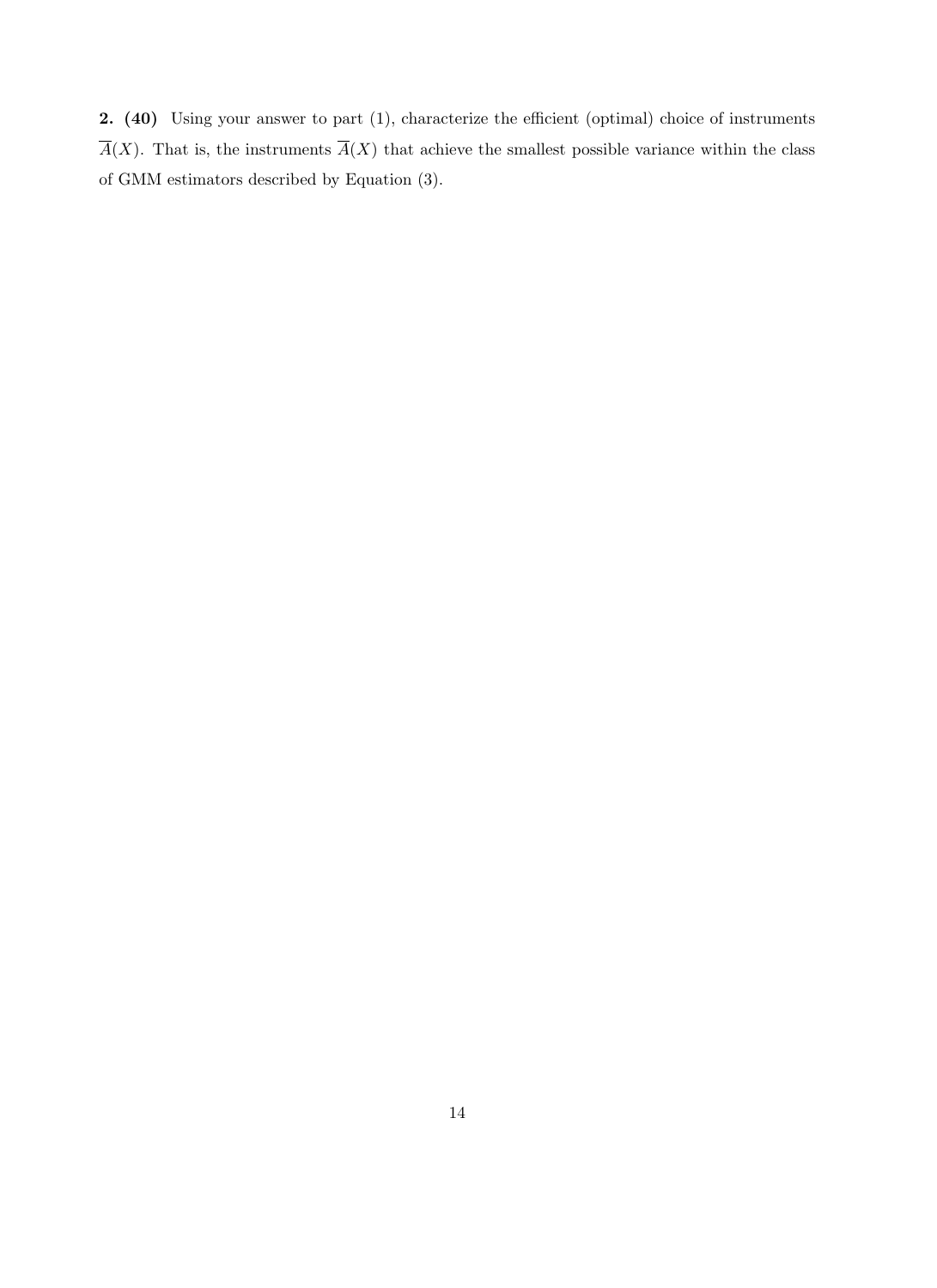2. (40) Using your answer to part (1), characterize the efficient (optimal) choice of instruments  $\overline{A}(X)$ . That is, the instruments  $\overline{A}(X)$  that achieve the smallest possible variance within the class of GMM estimators described by Equation (3).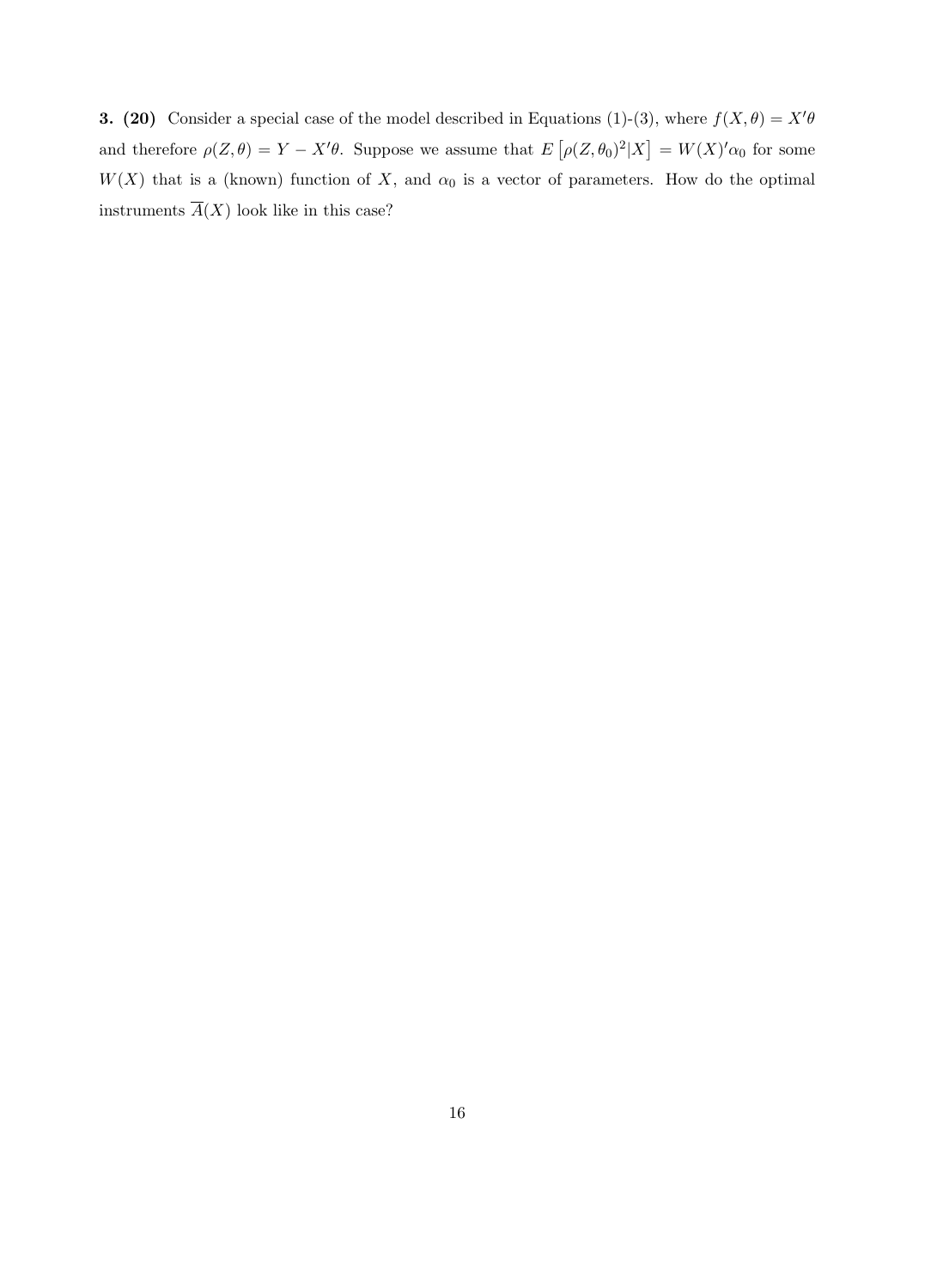**3. (20)** Consider a special case of the model described in Equations (1)-(3), where  $f(X, \theta) = X'\theta$ and therefore  $\rho(Z,\theta) = Y - X'\theta$ . Suppose we assume that  $E[\rho(Z,\theta_0)^2|X] = W(X)'\alpha_0$  for some  $W(X)$  that is a (known) function of X, and  $\alpha_0$  is a vector of parameters. How do the optimal instruments  $\overline{A}(X)$  look like in this case?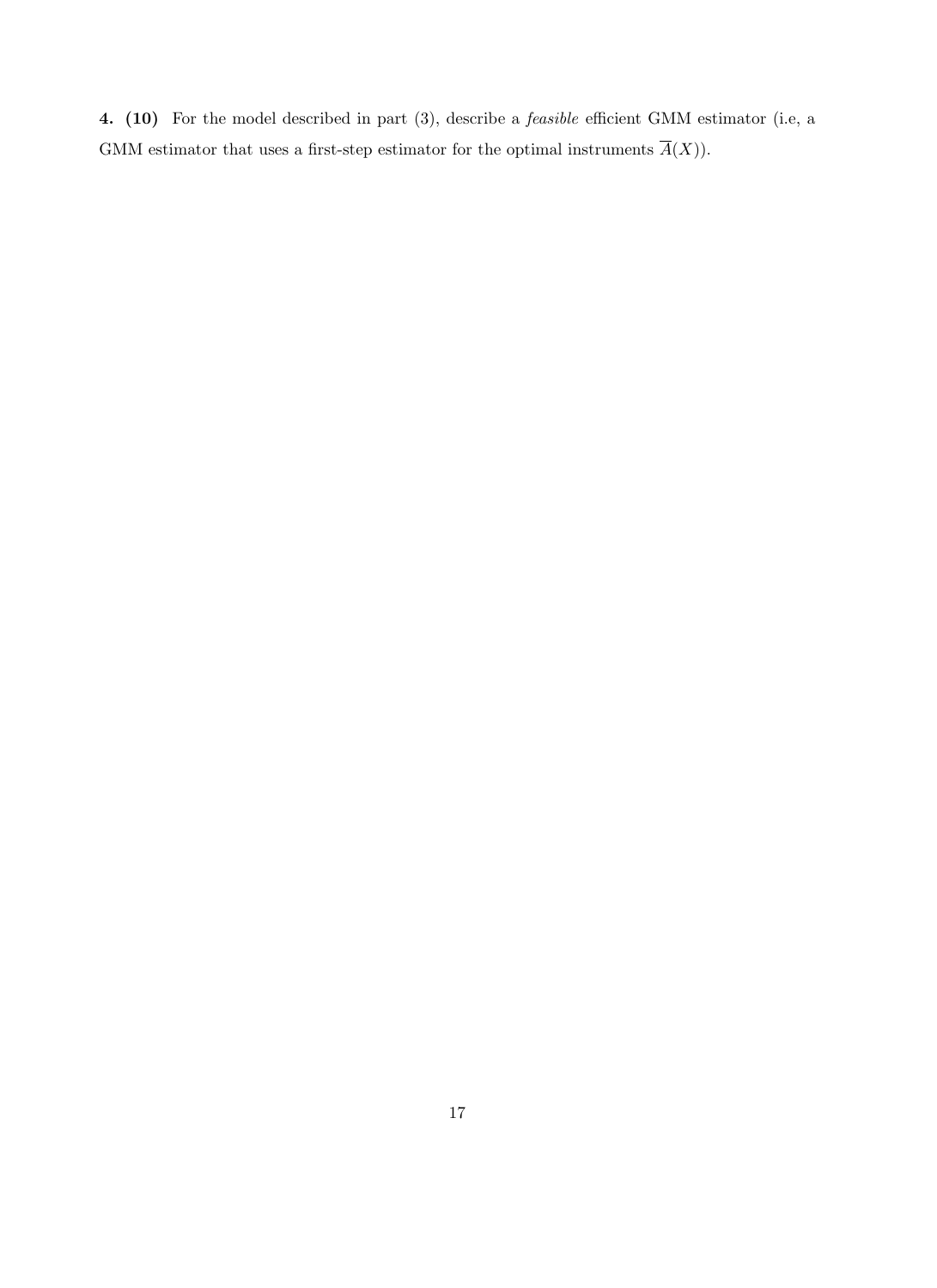4. (10) For the model described in part (3), describe a feasible efficient GMM estimator (i.e, a GMM estimator that uses a first-step estimator for the optimal instruments  $\overline{A}(X)$ ).